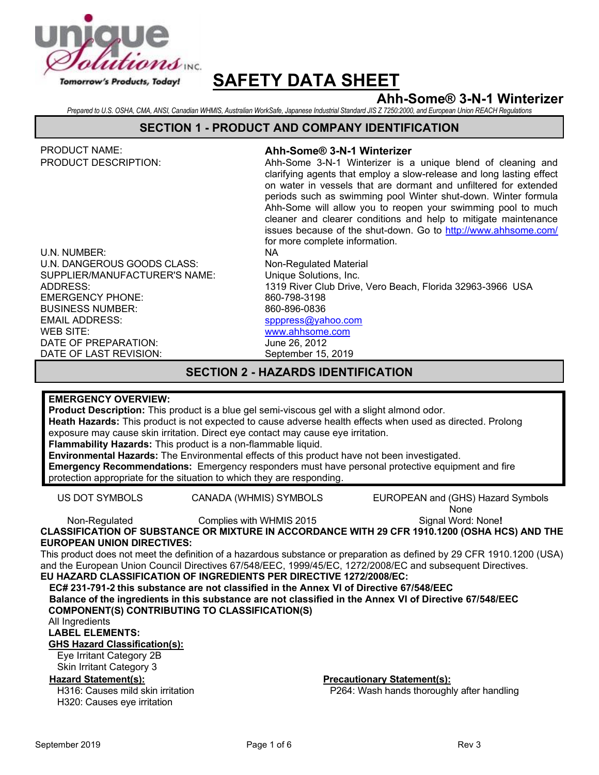

# **Ahh-Some® 3-N-1 Winterizer**

*Prepared to U.S. OSHA, CMA, ANSI, Canadian WHMIS, Australian WorkSafe, Japanese Industrial Standard JIS Z 7250:2000, and European Union REACH Regulations*

#### **SECTION 1 - PRODUCT AND COMPANY IDENTIFICATION**

| PRODUCT NAME:<br>PRODUCT DESCRIPTION:                                                                                                                                                                                                                                                                                                                                                                                                                                                                                                                                                                                                                                      | Ahh-Some® 3-N-1 Winterizer<br>Ahh-Some 3-N-1 Winterizer is a unique blend of cleaning and<br>clarifying agents that employ a slow-release and long lasting effect<br>on water in vessels that are dormant and unfiltered for extended<br>periods such as swimming pool Winter shut-down. Winter formula<br>Ahh-Some will allow you to reopen your swimming pool to much<br>cleaner and clearer conditions and help to mitigate maintenance<br>issues because of the shut-down. Go to http://www.ahhsome.com/<br>for more complete information. |  |  |  |  |  |
|----------------------------------------------------------------------------------------------------------------------------------------------------------------------------------------------------------------------------------------------------------------------------------------------------------------------------------------------------------------------------------------------------------------------------------------------------------------------------------------------------------------------------------------------------------------------------------------------------------------------------------------------------------------------------|------------------------------------------------------------------------------------------------------------------------------------------------------------------------------------------------------------------------------------------------------------------------------------------------------------------------------------------------------------------------------------------------------------------------------------------------------------------------------------------------------------------------------------------------|--|--|--|--|--|
| U.N. NUMBER:                                                                                                                                                                                                                                                                                                                                                                                                                                                                                                                                                                                                                                                               | <b>NA</b>                                                                                                                                                                                                                                                                                                                                                                                                                                                                                                                                      |  |  |  |  |  |
| U.N. DANGEROUS GOODS CLASS:                                                                                                                                                                                                                                                                                                                                                                                                                                                                                                                                                                                                                                                | Non-Regulated Material                                                                                                                                                                                                                                                                                                                                                                                                                                                                                                                         |  |  |  |  |  |
| SUPPLIER/MANUFACTURER'S NAME:                                                                                                                                                                                                                                                                                                                                                                                                                                                                                                                                                                                                                                              | Unique Solutions, Inc.                                                                                                                                                                                                                                                                                                                                                                                                                                                                                                                         |  |  |  |  |  |
| <b>ADDRESS:</b><br><b>EMERGENCY PHONE:</b>                                                                                                                                                                                                                                                                                                                                                                                                                                                                                                                                                                                                                                 | 1319 River Club Drive, Vero Beach, Florida 32963-3966 USA<br>860-798-3198                                                                                                                                                                                                                                                                                                                                                                                                                                                                      |  |  |  |  |  |
| <b>BUSINESS NUMBER:</b>                                                                                                                                                                                                                                                                                                                                                                                                                                                                                                                                                                                                                                                    | 860-896-0836                                                                                                                                                                                                                                                                                                                                                                                                                                                                                                                                   |  |  |  |  |  |
| <b>EMAIL ADDRESS:</b>                                                                                                                                                                                                                                                                                                                                                                                                                                                                                                                                                                                                                                                      | spppress@yahoo.com                                                                                                                                                                                                                                                                                                                                                                                                                                                                                                                             |  |  |  |  |  |
| WEB SITE:                                                                                                                                                                                                                                                                                                                                                                                                                                                                                                                                                                                                                                                                  | www.ahhsome.com                                                                                                                                                                                                                                                                                                                                                                                                                                                                                                                                |  |  |  |  |  |
| DATE OF PREPARATION:                                                                                                                                                                                                                                                                                                                                                                                                                                                                                                                                                                                                                                                       | June 26, 2012                                                                                                                                                                                                                                                                                                                                                                                                                                                                                                                                  |  |  |  |  |  |
| DATE OF LAST REVISION:                                                                                                                                                                                                                                                                                                                                                                                                                                                                                                                                                                                                                                                     | September 15, 2019                                                                                                                                                                                                                                                                                                                                                                                                                                                                                                                             |  |  |  |  |  |
| <b>SECTION 2 - HAZARDS IDENTIFICATION</b>                                                                                                                                                                                                                                                                                                                                                                                                                                                                                                                                                                                                                                  |                                                                                                                                                                                                                                                                                                                                                                                                                                                                                                                                                |  |  |  |  |  |
|                                                                                                                                                                                                                                                                                                                                                                                                                                                                                                                                                                                                                                                                            |                                                                                                                                                                                                                                                                                                                                                                                                                                                                                                                                                |  |  |  |  |  |
| <b>EMERGENCY OVERVIEW:</b><br>Product Description: This product is a blue gel semi-viscous gel with a slight almond odor.<br>Heath Hazards: This product is not expected to cause adverse health effects when used as directed. Prolong<br>exposure may cause skin irritation. Direct eye contact may cause eye irritation.<br>Flammability Hazards: This product is a non-flammable liquid.<br>Environmental Hazards: The Environmental effects of this product have not been investigated.<br>Emergency Recommendations: Emergency responders must have personal protective equipment and fire<br>protection appropriate for the situation to which they are responding. |                                                                                                                                                                                                                                                                                                                                                                                                                                                                                                                                                |  |  |  |  |  |
| <b>US DOT SYMBOLS</b>                                                                                                                                                                                                                                                                                                                                                                                                                                                                                                                                                                                                                                                      | EUROPEAN and (GHS) Hazard Symbols<br>CANADA (WHMIS) SYMBOLS<br>None                                                                                                                                                                                                                                                                                                                                                                                                                                                                            |  |  |  |  |  |
| Non-Regulated                                                                                                                                                                                                                                                                                                                                                                                                                                                                                                                                                                                                                                                              | Signal Word: None!<br>Complies with WHMIS 2015                                                                                                                                                                                                                                                                                                                                                                                                                                                                                                 |  |  |  |  |  |
|                                                                                                                                                                                                                                                                                                                                                                                                                                                                                                                                                                                                                                                                            | CLASSIFICATION OF SUBSTANCE OR MIXTURE IN ACCORDANCE WITH 29 CFR 1910.1200 (OSHA HCS) AND THE                                                                                                                                                                                                                                                                                                                                                                                                                                                  |  |  |  |  |  |
| <b>EUROPEAN UNION DIRECTIVES:</b><br>This product does not meet the definition of a hazardous substance or preparation as defined by 29 CFR 1910.1200 (USA)                                                                                                                                                                                                                                                                                                                                                                                                                                                                                                                |                                                                                                                                                                                                                                                                                                                                                                                                                                                                                                                                                |  |  |  |  |  |
| and the European Union Council Directives 67/548/EEC, 1999/45/EC, 1272/2008/EC and subsequent Directives.                                                                                                                                                                                                                                                                                                                                                                                                                                                                                                                                                                  |                                                                                                                                                                                                                                                                                                                                                                                                                                                                                                                                                |  |  |  |  |  |

**EU HAZARD CLASSIFICATION OF INGREDIENTS PER DIRECTIVE 1272/2008/EC:**

**EC# 231-791-2 this substance are not classified in the Annex VI of Directive 67/548/EEC Balance of the ingredients in this substance are not classified in the Annex VI of Directive 67/548/EEC COMPONENT(S) CONTRIBUTING TO CLASSIFICATION(S)**

All Ingredients

**LABEL ELEMENTS:**

**GHS Hazard Classification(s):**

Eye Irritant Category 2B Skin Irritant Category 3

H316: Causes mild skin irritation H320: Causes eye irritation

**Hazard Statement(s): Precautionary Statement(s):**

P264: Wash hands thoroughly after handling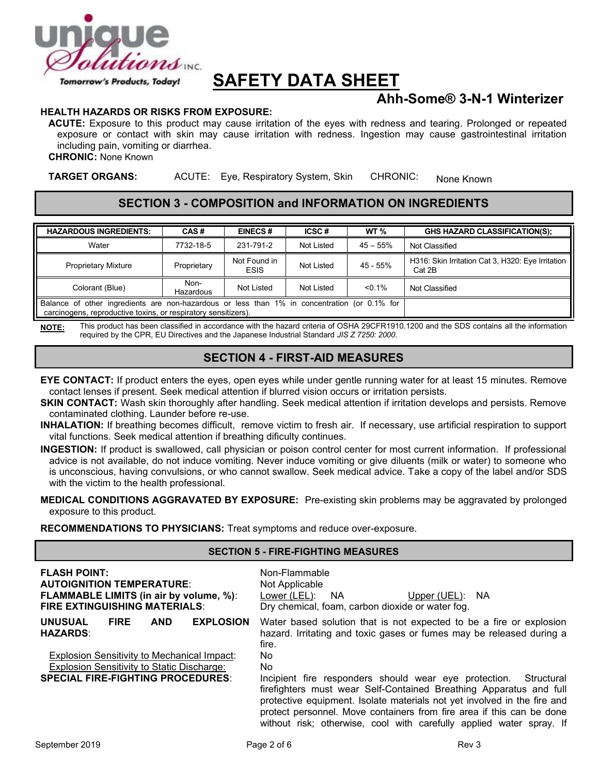

# **Ahh-Some® 3-N-1 Winterizer**

#### **HEALTH HAZARDS OR RISKS FROM EXPOSURE:**

**ACUTE:** Exposure to this product may cause irritation of the eyes with redness and tearing. Prolonged or repeated exposure or contact with skin may cause irritation with redness. Ingestion may cause gastrointestinal irritation including pain, vomiting or diarrhea.

**CHRONIC:** None Known

**TARGET ORGANS:** ACUTE: Eye, Respiratory System, Skin CHRONIC: None Known

### **SECTION 3 - COMPOSITION and INFORMATION ON INGREDIENTS**

| <b>HAZARDOUS INGREDIENTS:</b>                                                                                                                                  | CAS#              | <b>EINECS#</b>              | ICSC#      | WT <sub>%</sub> | <b>GHS HAZARD CLASSIFICATION(S):</b>                        |
|----------------------------------------------------------------------------------------------------------------------------------------------------------------|-------------------|-----------------------------|------------|-----------------|-------------------------------------------------------------|
| Water                                                                                                                                                          | 7732-18-5         | 231-791-2                   | Not Listed | $45 - 55%$      | Not Classified                                              |
| <b>Proprietary Mixture</b>                                                                                                                                     | Proprietary       | Not Found in<br><b>ESIS</b> | Not Listed | 45 - 55%        | H316: Skin Irritation Cat 3, H320: Eye Irritation<br>Cat 2B |
| Colorant (Blue)                                                                                                                                                | Non-<br>Hazardous | Not Listed                  | Not Listed | $< 0.1\%$       | Not Classified                                              |
| Balance of other ingredients are non-hazardous or less than 1% in concentration (or 0.1% for<br>carcinogens, reproductive toxins, or respiratory sensitizers). |                   |                             |            |                 |                                                             |

**NOTE:** This product has been classified in accordance with the hazard criteria of OSHA 29CFR1910.1200 and the SDS contains all the information required by the CPR, EU Directives and the Japanese Industrial Standard *JIS Z 7250: 2000*.

# **SECTION 4 - FIRST-AID MEASURES**

- **EYE CONTACT:** If product enters the eyes, open eyes while under gentle running water for at least 15 minutes. Remove contact lenses if present. Seek medical attention if blurred vision occurs or irritation persists.
- **SKIN CONTACT:** Wash skin thoroughly after handling. Seek medical attention if irritation develops and persists. Remove contaminated clothing. Launder before re-use.
- **INHALATION:** If breathing becomes difficult, remove victim to fresh air. If necessary, use artificial respiration to support vital functions. Seek medical attention if breathing dificulty continues.
- **INGESTION:** If product is swallowed, call physician or poison control center for most current information. If professional advice is not available, do not induce vomiting. Never induce vomiting or give diluents (milk or water) to someone who is unconscious, having convulsions, or who cannot swallow. Seek medical advice. Take a copy of the label and/or SDS with the victim to the health professional.

#### **MEDICAL CONDITIONS AGGRAVATED BY EXPOSURE:** Pre-existing skin problems may be aggravated by prolonged exposure to this product.

**RECOMMENDATIONS TO PHYSICIANS:** Treat symptoms and reduce over-exposure.

#### **SECTION 5 - FIRE-FIGHTING MEASURES**

| <b>FLASH POINT:</b><br><b>AUTOIGNITION TEMPERATURE:</b><br><b>FLAMMABLE LIMITS (in air by volume, %):</b><br><b>FIRE EXTINGUISHING MATERIALS:</b> | Non-Flammable<br>Not Applicable<br>Lower (LEL):<br><b>NA</b><br>Upper $(UEL)$ :<br>-NA<br>Dry chemical, foam, carbon dioxide or water fog.                                                                                                                                                      |
|---------------------------------------------------------------------------------------------------------------------------------------------------|-------------------------------------------------------------------------------------------------------------------------------------------------------------------------------------------------------------------------------------------------------------------------------------------------|
| <b>EXPLOSION</b><br><b>UNUSUAL</b><br><b>FIRE</b><br><b>AND</b><br><b>HAZARDS:</b><br>Explosion Sensitivity to Mechanical Impact:                 | Water based solution that is not expected to be a fire or explosion<br>hazard. Irritating and toxic gases or fumes may be released during a<br>fire.<br>No.                                                                                                                                     |
| Explosion Sensitivity to Static Discharge:<br><b>SPECIAL FIRE-FIGHTING PROCEDURES:</b>                                                            | No.<br>Incipient fire responders should wear eye protection.<br>Structural                                                                                                                                                                                                                      |
|                                                                                                                                                   | firefighters must wear Self-Contained Breathing Apparatus and full<br>protective equipment. Isolate materials not yet involved in the fire and<br>protect personnel. Move containers from fire area if this can be done<br>without risk; otherwise, cool with carefully applied water spray. If |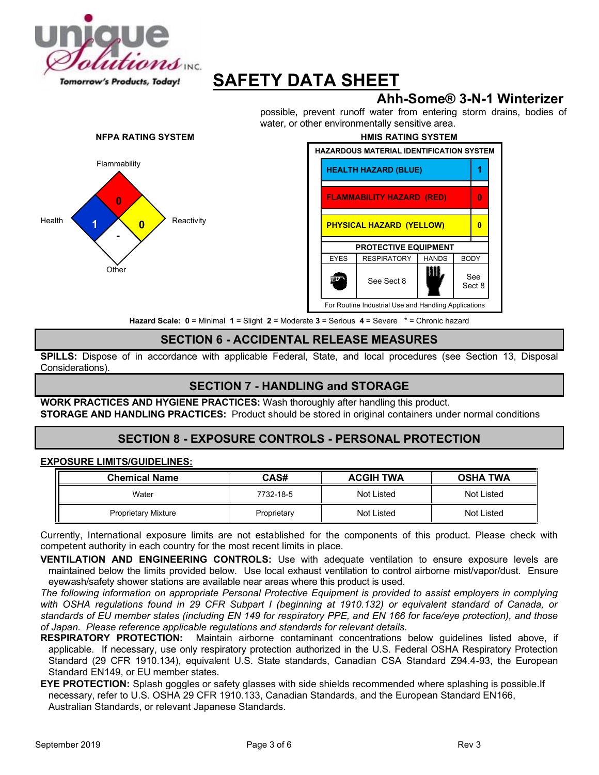

# **Ahh-Some® 3-N-1 Winterizer**

possible, prevent runoff water from entering storm drains, bodies of water, or other environmentally sensitive area.





**Hazard Scale: 0** = Minimal **1** = Slight **2** = Moderate **3** = Serious **4** = Severe \* = Chronic hazard

# **SECTION 6 - ACCIDENTAL RELEASE MEASURES**

**SPILLS:** Dispose of in accordance with applicable Federal, State, and local procedures (see Section 13, Disposal Considerations).

# **SECTION 7 - HANDLING and STORAGE**

**WORK PRACTICES AND HYGIENE PRACTICES:** Wash thoroughly after handling this product. **STORAGE AND HANDLING PRACTICES:** Product should be stored in original containers under normal conditions

# **SECTION 8 - EXPOSURE CONTROLS - PERSONAL PROTECTION**

#### **EXPOSURE LIMITS/GUIDELINES:**

| <b>Chemical Name</b>       | CAS#        | <b>ACGIH TWA</b> | <b>OSHA TWA</b> |
|----------------------------|-------------|------------------|-----------------|
| Water                      | 7732-18-5   | Not Listed       | Not Listed      |
| <b>Proprietary Mixture</b> | Proprietary | Not Listed       | Not Listed      |

Currently, International exposure limits are not established for the components of this product. Please check with competent authority in each country for the most recent limits in place.

**VENTILATION AND ENGINEERING CONTROLS:** Use with adequate ventilation to ensure exposure levels are maintained below the limits provided below. Use local exhaust ventilation to control airborne mist/vapor/dust. Ensure eyewash/safety shower stations are available near areas where this product is used.

*The following information on appropriate Personal Protective Equipment is provided to assist employers in complying*  with OSHA regulations found in 29 CFR Subpart I (beginning at 1910.132) or equivalent standard of Canada, or *standards of EU member states (including EN 149 for respiratory PPE, and EN 166 for face/eye protection), and those of Japan. Please reference applicable regulations and standards for relevant details.*

**RESPIRATORY PROTECTION:** Maintain airborne contaminant concentrations below guidelines listed above, if applicable. If necessary, use only respiratory protection authorized in the U.S. Federal OSHA Respiratory Protection Standard (29 CFR 1910.134), equivalent U.S. State standards, Canadian CSA Standard Z94.4-93, the European Standard EN149, or EU member states.

**EYE PROTECTION:** Splash goggles or safety glasses with side shields recommended where splashing is possible.If necessary, refer to U.S. OSHA 29 CFR 1910.133, Canadian Standards, and the European Standard EN166, Australian Standards, or relevant Japanese Standards.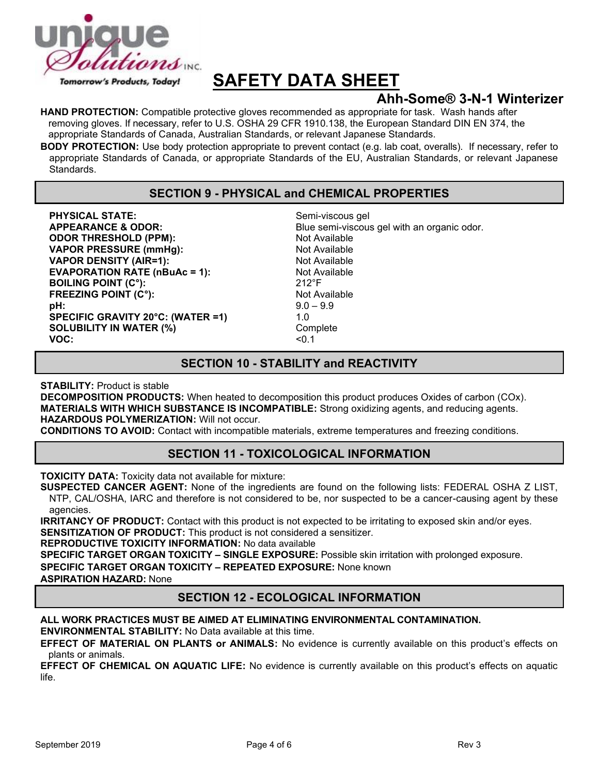

# **Ahh-Some® 3-N-1 Winterizer**

**HAND PROTECTION:** Compatible protective gloves recommended as appropriate for task. Wash hands after removing gloves. If necessary, refer to U.S. OSHA 29 CFR 1910.138, the European Standard DIN EN 374, the appropriate Standards of Canada, Australian Standards, or relevant Japanese Standards.

**BODY PROTECTION:** Use body protection appropriate to prevent contact (e.g. lab coat, overalls). If necessary, refer to appropriate Standards of Canada, or appropriate Standards of the EU, Australian Standards, or relevant Japanese Standards.

# **SECTION 9 - PHYSICAL and CHEMICAL PROPERTIES**

**PHYSICAL STATE:** Semi-viscous gel **ODOR THRESHOLD (PPM):** Not Available **VAPOR PRESSURE (mmHg):** Not Available **VAPOR DENSITY (AIR=1):** Not Available **EVAPORATION RATE (nBuAc = 1):** Not Available **BOILING POINT (C°): BOILING POINT (C°) BOILING POINT (C°): FREEZING POINT (C°):** Not Available **pH:** 9.0 – 9.9 **SPECIFIC GRAVITY 20°C: (WATER =1)** 1.0 **SOLUBILITY IN WATER (%)** Complete<br>VOC: <0 1 **VOC:** <0.1

**APPEARANCE & ODOR:** Blue semi-viscous gel with an organic odor.

### **SECTION 10 - STABILITY and REACTIVITY**

**STABILITY:** Product is stable

**DECOMPOSITION PRODUCTS:** When heated to decomposition this product produces Oxides of carbon (COx). **MATERIALS WITH WHICH SUBSTANCE IS INCOMPATIBLE:** Strong oxidizing agents, and reducing agents. **HAZARDOUS POLYMERIZATION:** Will not occur.

**CONDITIONS TO AVOID:** Contact with incompatible materials, extreme temperatures and freezing conditions.

# **SECTION 11 - TOXICOLOGICAL INFORMATION**

**TOXICITY DATA:** Toxicity data not available for mixture:

**SUSPECTED CANCER AGENT:** None of the ingredients are found on the following lists: FEDERAL OSHA Z LIST, NTP, CAL/OSHA, IARC and therefore is not considered to be, nor suspected to be a cancer-causing agent by these agencies.

**IRRITANCY OF PRODUCT:** Contact with this product is not expected to be irritating to exposed skin and/or eyes. **SENSITIZATION OF PRODUCT:** This product is not considered a sensitizer.

**REPRODUCTIVE TOXICITY INFORMATION:** No data available

**SPECIFIC TARGET ORGAN TOXICITY – SINGLE EXPOSURE:** Possible skin irritation with prolonged exposure.

**SPECIFIC TARGET ORGAN TOXICITY – REPEATED EXPOSURE:** None known

**ASPIRATION HAZARD:** None

# **SECTION 12 - ECOLOGICAL INFORMATION**

#### **ALL WORK PRACTICES MUST BE AIMED AT ELIMINATING ENVIRONMENTAL CONTAMINATION. ENVIRONMENTAL STABILITY:** No Data available at this time.

**EFFECT OF MATERIAL ON PLANTS or ANIMALS:** No evidence is currently available on this product's effects on plants or animals.

**EFFECT OF CHEMICAL ON AQUATIC LIFE:** No evidence is currently available on this product's effects on aquatic life.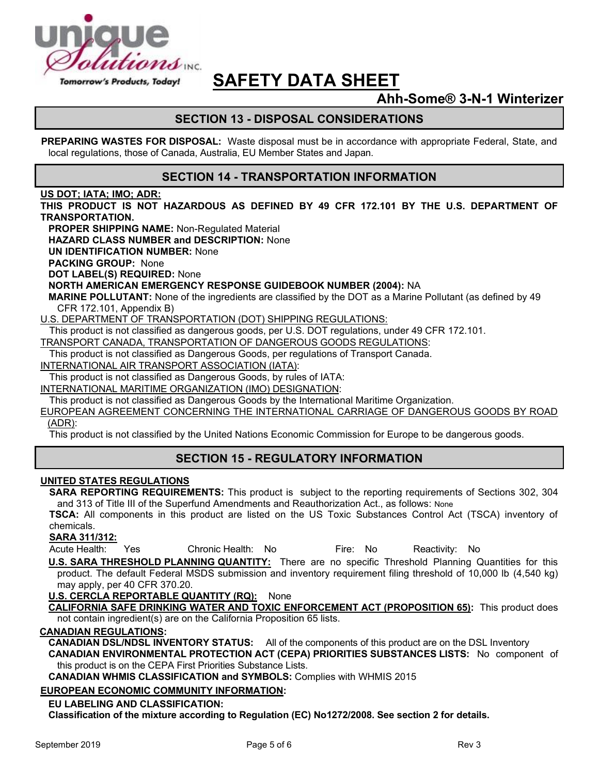

# **Ahh-Some® 3-N-1 Winterizer**

# **SECTION 13 - DISPOSAL CONSIDERATIONS**

**PREPARING WASTES FOR DISPOSAL:** Waste disposal must be in accordance with appropriate Federal, State, and local regulations, those of Canada, Australia, EU Member States and Japan.

### **SECTION 14 - TRANSPORTATION INFORMATION**

#### **US DOT; IATA; IMO; ADR:**

**THIS PRODUCT IS NOT HAZARDOUS AS DEFINED BY 49 CFR 172.101 BY THE U.S. DEPARTMENT OF TRANSPORTATION.**

**PROPER SHIPPING NAME:** Non-Regulated Material

**HAZARD CLASS NUMBER and DESCRIPTION:** None

**UN IDENTIFICATION NUMBER:** None

**PACKING GROUP:** None

**DOT LABEL(S) REQUIRED:** None

**NORTH AMERICAN EMERGENCY RESPONSE GUIDEBOOK NUMBER (2004):** NA

**MARINE POLLUTANT:** None of the ingredients are classified by the DOT as a Marine Pollutant (as defined by 49 CFR 172.101, Appendix B)

U.S. DEPARTMENT OF TRANSPORTATION (DOT) SHIPPING REGULATIONS:

This product is not classified as dangerous goods, per U.S. DOT regulations, under 49 CFR 172.101.

TRANSPORT CANADA, TRANSPORTATION OF DANGEROUS GOODS REGULATIONS:

This product is not classified as Dangerous Goods, per regulations of Transport Canada.

INTERNATIONAL AIR TRANSPORT ASSOCIATION (IATA):

This product is not classified as Dangerous Goods, by rules of IATA:

INTERNATIONAL MARITIME ORGANIZATION (IMO) DESIGNATION:

This product is not classified as Dangerous Goods by the International Maritime Organization.

EUROPEAN AGREEMENT CONCERNING THE INTERNATIONAL CARRIAGE OF DANGEROUS GOODS BY ROAD (ADR):

This product is not classified by the United Nations Economic Commission for Europe to be dangerous goods.

### **SECTION 15 - REGULATORY INFORMATION**

#### **UNITED STATES REGULATIONS**

**SARA REPORTING REQUIREMENTS:** This product is subject to the reporting requirements of Sections 302, 304 and 313 of Title III of the Superfund Amendments and Reauthorization Act., as follows: None

**TSCA:** All components in this product are listed on the US Toxic Substances Control Act (TSCA) inventory of chemicals.

#### **SARA 311/312:**

Acute Health: Yes Chronic Health: No Fire: No Reactivity: No

**U.S. SARA THRESHOLD PLANNING QUANTITY:** There are no specific Threshold Planning Quantities for this product. The default Federal MSDS submission and inventory requirement filing threshold of 10,000 lb (4,540 kg) may apply, per 40 CFR 370.20.

**U.S. CERCLA REPORTABLE QUANTITY (RQ):** None

**CALIFORNIA SAFE DRINKING WATER AND TOXIC ENFORCEMENT ACT (PROPOSITION 65):** This product does not contain ingredient(s) are on the California Proposition 65 lists.

#### **CANADIAN REGULATIONS:**

**CANADIAN DSL/NDSL INVENTORY STATUS:** All of the components of this product are on the DSL Inventory

**CANADIAN ENVIRONMENTAL PROTECTION ACT (CEPA) PRIORITIES SUBSTANCES LISTS:** No component of this product is on the CEPA First Priorities Substance Lists.

**CANADIAN WHMIS CLASSIFICATION and SYMBOLS:** Complies with WHMIS 2015

#### **EUROPEAN ECONOMIC COMMUNITY INFORMATION:**

#### **EU LABELING AND CLASSIFICATION:**

**Classification of the mixture according to Regulation (EC) No1272/2008. See section 2 for details.**